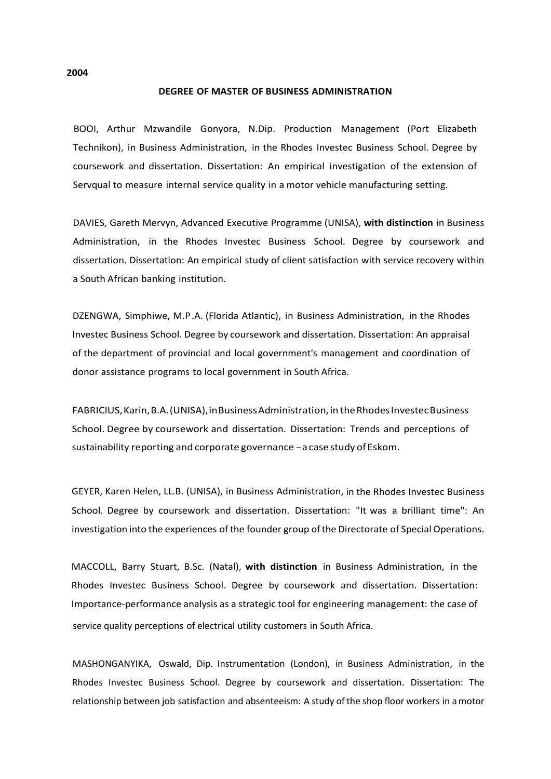#### **DEGREE OF MASTER OF BUSINESS ADMINISTRATION**

BOOI, Arthur Mzwandile Gonyora, N.Dip. Production Management (Port Elizabeth Technikon), in Business Administration, in the Rhodes Investec Business School. Degree by coursework and dissertation. Dissertation: An empirical investigation of the extension of Servqual to measure internal service quality in a motor vehicle manufacturing setting.

DAVIES, Gareth Mervyn, Advanced Executive Programme (UNISA), **with distinction** in Business Administration, in the Rhodes Investec Business School. Degree by coursework and dissertation. Dissertation: An empirical study of client satisfaction with service recovery within a South African banking institution.

DZENGWA, Simphiwe, M.P.A. (Florida Atlantic), in Business Administration, in the Rhodes Investec Business School. Degree by coursework and dissertation. Dissertation: An appraisal of the department of provincial and local government's management and coordination of donor assistance programs to local government in South Africa.

FABRICIUS,Karin,B.A.(UNISA),inBusinessAdministration,in theRhodesInvestecBusiness School. Degree by coursework and dissertation. Dissertation: Trends and perceptions of sustainability reporting and corporate governance - a case study of Eskom.

GEYER, Karen Helen, LL.B. (UNISA), in Business Administration, in the Rhodes Investec Business School. Degree by coursework and dissertation. Dissertation: "It was a brilliant time": An investigation into the experiences of the founder group ofthe Directorate of Special Operations.

MACCOLL, Barry Stuart, B.Sc. (Natal), **with distinction** in Business Administration, in the Rhodes Investec Business School. Degree by coursework and dissertation. Dissertation: Importance-performance analysis as a strategic tool for engineering management: the case of service quality perceptions of electrical utility customers in South Africa.

MASHONGANYIKA, Oswald, Dip. Instrumentation (London), in Business Administration, in the Rhodes Investec Business School. Degree by coursework and dissertation. Dissertation: The relationship between job satisfaction and absenteeism: A study of the shop floor workers in amotor

**2004**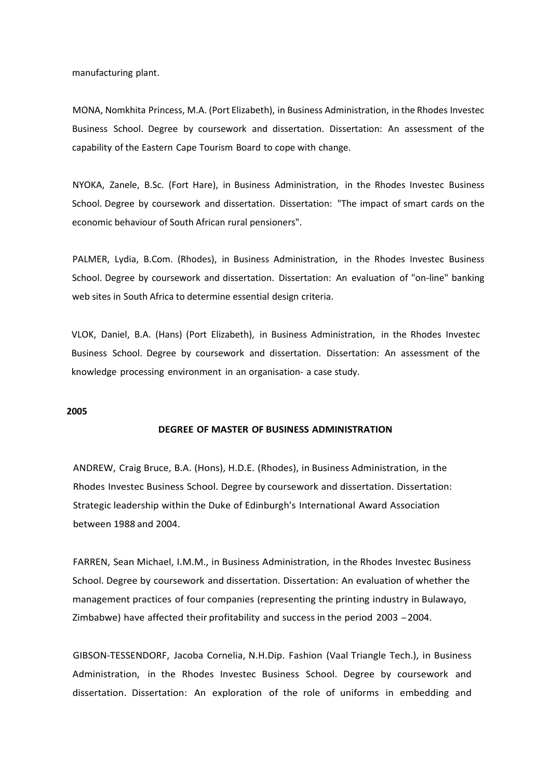manufacturing plant.

MONA, Nomkhita Princess, M.A. (Port Elizabeth), in Business Administration, in the Rhodes Investec Business School. Degree by coursework and dissertation. Dissertation: An assessment of the capability of the Eastern Cape Tourism Board to cope with change.

NYOKA, Zanele, B.Sc. (Fort Hare), in Business Administration, in the Rhodes Investec Business School. Degree by coursework and dissertation. Dissertation: "The impact of smart cards on the economic behaviour of South African rural pensioners".

PALMER, Lydia, B.Com. (Rhodes), in Business Administration, in the Rhodes Investec Business School. Degree by coursework and dissertation. Dissertation: An evaluation of "on-line" banking web sites in South Africa to determine essential design criteria.

VLOK, Daniel, B.A. (Hans) (Port Elizabeth), in Business Administration, in the Rhodes Investec Business School. Degree by coursework and dissertation. Dissertation: An assessment of the knowledge processing environment in an organisation- a case study.

## **2005**

# **DEGREE OF MASTER OF BUSINESS ADMINISTRATION**

ANDREW, Craig Bruce, B.A. (Hons), H.D.E. (Rhodes), in Business Administration, in the Rhodes Investec Business School. Degree by coursework and dissertation. Dissertation: Strategic leadership within the Duke of Edinburgh's International Award Association between 1988 and 2004.

FARREN, Sean Michael, I.M.M., in Business Administration, in the Rhodes Investec Business School. Degree by coursework and dissertation. Dissertation: An evaluation of whether the management practices of four companies (representing the printing industry in Bulawayo, Zimbabwe) have affected their profitability and success in the period <sup>2003</sup> -2004.

GIBSON-TESSENDORF, Jacoba Cornelia, N.H.Dip. Fashion (Vaal Triangle Tech.), in Business Administration, in the Rhodes Investec Business School. Degree by coursework and dissertation. Dissertation: An exploration of the role of uniforms in embedding and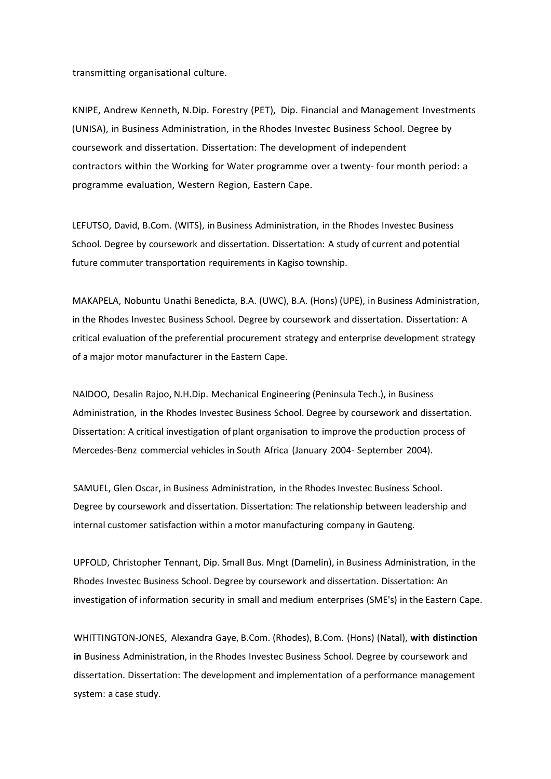transmitting organisational culture.

KNIPE, Andrew Kenneth, N.Dip. Forestry (PET), Dip. Financial and Management Investments (UNISA), in Business Administration, in the Rhodes Investec Business School. Degree by coursework and dissertation. Dissertation: The development of independent contractors within the Working for Water programme over a twenty- four month period: a programme evaluation, Western Region, Eastern Cape.

LEFUTSO, David, B.Com. (WITS), in Business Administration, in the Rhodes Investec Business School. Degree by coursework and dissertation. Dissertation: A study of current and potential future commuter transportation requirements in Kagiso township.

MAKAPELA, Nobuntu Unathi Benedicta, B.A. (UWC), B.A. (Hons) (UPE), in Business Administration, in the Rhodes Investec Business School. Degree by coursework and dissertation. Dissertation: A critical evaluation of the preferential procurement strategy and enterprise development strategy of a major motor manufacturer in the Eastern Cape.

NAIDOO, Desalin Rajoo, N.H.Dip. Mechanical Engineering (Peninsula Tech.), in Business Administration, in the Rhodes Investec Business School. Degree by coursework and dissertation. Dissertation: A critical investigation of plant organisation to improve the production process of Mercedes-Benz commercial vehicles in South Africa (January 2004- September 2004).

SAMUEL, Glen Oscar, in Business Administration, in the Rhodes Investec Business School. Degree by coursework and dissertation. Dissertation: The relationship between leadership and internal customer satisfaction within a motor manufacturing company in Gauteng.

UPFOLD, Christopher Tennant, Dip. Small Bus. Mngt (Damelin), in Business Administration, in the Rhodes Investec Business School. Degree by coursework and dissertation. Dissertation: An investigation of information security in small and medium enterprises (SME's) in the Eastern Cape.

WHITTINGTON-JONES, Alexandra Gaye, B.Com. (Rhodes), B.Com. (Hons) (Natal), **with distinction in** Business Administration, in the Rhodes Investec Business School. Degree by coursework and dissertation. Dissertation: The development and implementation of a performance management system: a case study.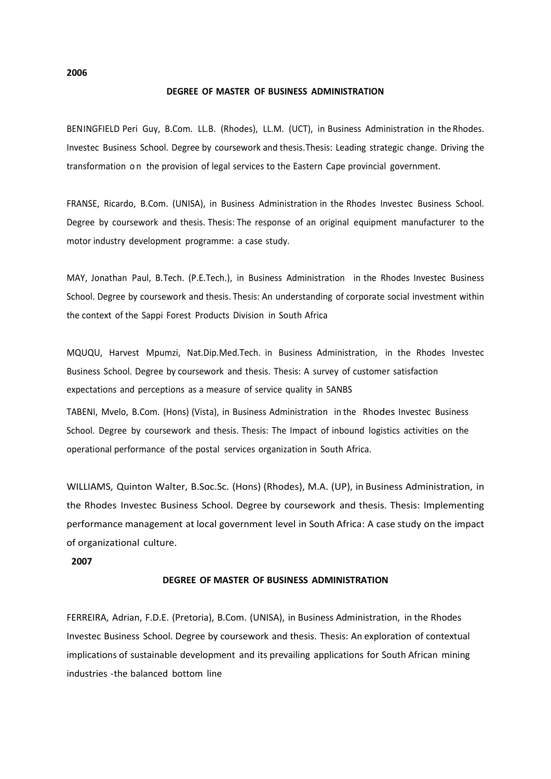**2006**

#### **DEGREE OF MASTER OF BUSINESS ADMINISTRATION**

BENINGFIELD Peri Guy, B.Com. LL.B. (Rhodes), LL.M. (UCT), in Business Administration in the Rhodes. Investec Business School. Degree by coursework and thesis. Thesis: Leading strategic change. Driving the transformation o n the provision of legal services to the Eastern Cape provincial government.

FRANSE, Ricardo, B.Com. (UNISA), in Business Administration in the Rhodes Investec Business School. Degree by coursework and thesis. Thesis: The response of an original equipment manufacturer to the motor industry development programme: a case study.

MAY, Jonathan Paul, B.Tech. (P.E.Tech.), in Business Administration in the Rhodes Investec Business School. Degree by coursework and thesis. Thesis: An understanding of corporate social investment within the context of the Sappi Forest Products Division in South Africa

MQUQU, Harvest Mpumzi, Nat.Dip.Med.Tech. in Business Administration, in the Rhodes Investec Business School. Degree by coursework and thesis. Thesis: A survey of customer satisfaction expectations and perceptions as a measure of service quality in SANBS

TABENI, Mvelo, B.Com. (Hons) (Vista), in Business Administration in the Rhodes Investec Business School. Degree by coursework and thesis. Thesis: The Impact of inbound logistics activities on the operational performance of the postal services organization in South Africa.

WILLIAMS, Quinton Walter, B.Soc.Sc. (Hons) (Rhodes), M.A. (UP), in Business Administration, in the Rhodes Investec Business School. Degree by coursework and thesis. Thesis: Implementing performance management at local government level in South Africa: A case study on the impact of organizational culture.

**2007**

## **DEGREE OF MASTER OF BUSINESS ADMINISTRATION**

FERREIRA, Adrian, F.D.E. (Pretoria), B.Com. (UNISA), in Business Administration, in the Rhodes Investec Business School. Degree by coursework and thesis. Thesis: An exploration of contextual implications of sustainable development and its prevailing applications for South African mining industries -the balanced bottom line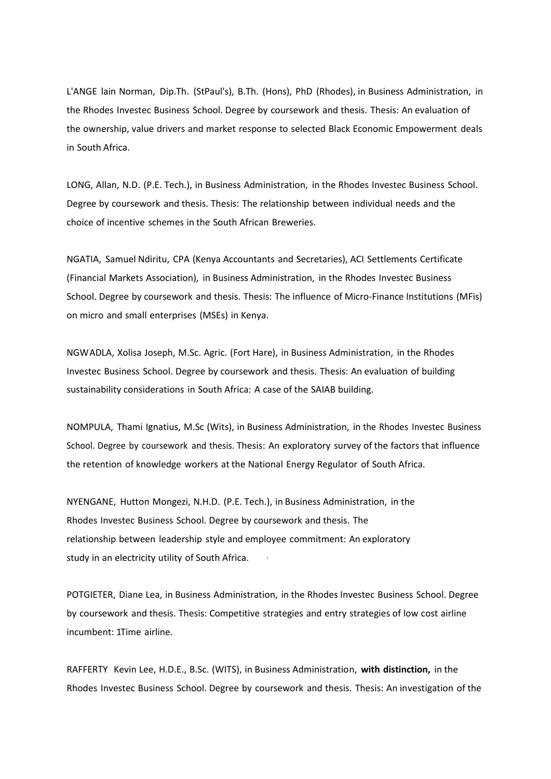L'ANGE lain Norman, Dip.Th. (StPaul's), B.Th. (Hons), PhD (Rhodes), in Business Administration, in the Rhodes Investec Business School. Degree by coursework and thesis. Thesis: An evaluation of the ownership, value drivers and market response to selected Black Economic Empowerment deals in South Africa.

LONG, Allan, N.D. (P.E. Tech.), in Business Administration, in the Rhodes Investec Business School. Degree by coursework and thesis. Thesis: The relationship between individual needs and the choice of incentive schemes in the South African Breweries.

NGATIA, Samuel Ndiritu, CPA (Kenya Accountants and Secretaries), ACI Settlements Certificate (Financial Markets Association), in Business Administration, in the Rhodes Investec Business School. Degree by coursework and thesis. Thesis: The influence of Micro-Finance Institutions (MFis) on micro and small enterprises (MSEs) in Kenya.

NGWADLA, Xolisa Joseph, M.Sc. Agric. (Fort Hare), in Business Administration, in the Rhodes Investec Business School. Degree by coursework and thesis. Thesis: An evaluation of building sustainability considerations in South Africa: A case of the SAIAB building.

NOMPULA, Thami Ignatius, M.Sc (Wits), in Business Administration, in the Rhodes Investec Business School. Degree by coursework and thesis. Thesis: An exploratory survey of the factors that influence the retention of knowledge workers at the National Energy Regulator of South Africa.

NYENGANE, Hutton Mongezi, N.H.D. (P.E. Tech.), in Business Administration, in the Rhodes Investec Business School. Degree by coursework and thesis. The relationship between leadership style and employee commitment: An exploratory study in an electricity utility of South Africa.

POTGIETER, Diane Lea, in Business Administration, in the Rhodes Investec Business School. Degree by coursework and thesis. Thesis: Competitive strategies and entry strategies of low cost airline incumbent: 1Time airline.

RAFFERTY Kevin Lee, H.D.E., B.Sc. (WITS), in Business Administration, **with distinction,** in the Rhodes Investec Business School. Degree by coursework and thesis. Thesis: An investigation of the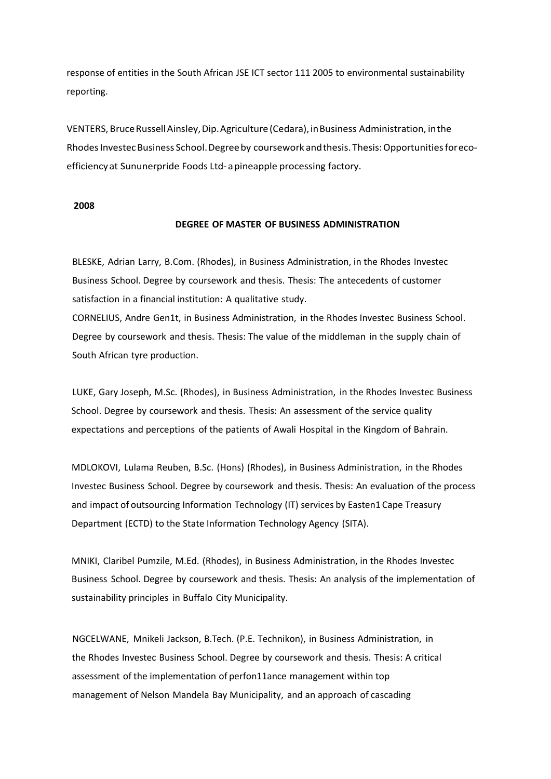response of entities in the South African JSE ICT sector 111 2005 to environmental sustainability reporting.

VENTERS, BruceRussellAinsley,Dip.Agriculture (Cedara),inBusiness Administration, inthe RhodesInvestecBusiness School.Degreeby coursework andthesis.Thesis:Opportunitiesforecoefficiency at Sununerpride Foods Ltd- apineapple processing factory.

#### **2008**

#### **DEGREE OF MASTER OF BUSINESS ADMINISTRATION**

BLESKE, Adrian Larry, B.Com. (Rhodes), in Business Administration, in the Rhodes Investec Business School. Degree by coursework and thesis. Thesis: The antecedents of customer satisfaction in a financial institution: A qualitative study.

CORNELIUS, Andre Gen1t, in Business Administration, in the Rhodes Investec Business School. Degree by coursework and thesis. Thesis: The value of the middleman in the supply chain of South African tyre production.

LUKE, Gary Joseph, M.Sc. (Rhodes), in Business Administration, in the Rhodes Investec Business School. Degree by coursework and thesis. Thesis: An assessment of the service quality expectations and perceptions of the patients of Awali Hospital in the Kingdom of Bahrain.

MDLOKOVI, Lulama Reuben, B.Sc. (Hons) (Rhodes), in Business Administration, in the Rhodes Investec Business School. Degree by coursework and thesis. Thesis: An evaluation of the process and impact of outsourcing Information Technology (IT) services by Easten1 Cape Treasury Department (ECTD) to the State Information Technology Agency (SITA).

MNIKI, Claribel Pumzile, M.Ed. (Rhodes), in Business Administration, in the Rhodes Investec Business School. Degree by coursework and thesis. Thesis: An analysis of the implementation of sustainability principles in Buffalo City Municipality.

NGCELWANE, Mnikeli Jackson, B.Tech. (P.E. Technikon), in Business Administration, in the Rhodes Investec Business School. Degree by coursework and thesis. Thesis: A critical assessment of the implementation of perfon11ance management within top management of Nelson Mandela Bay Municipality, and an approach of cascading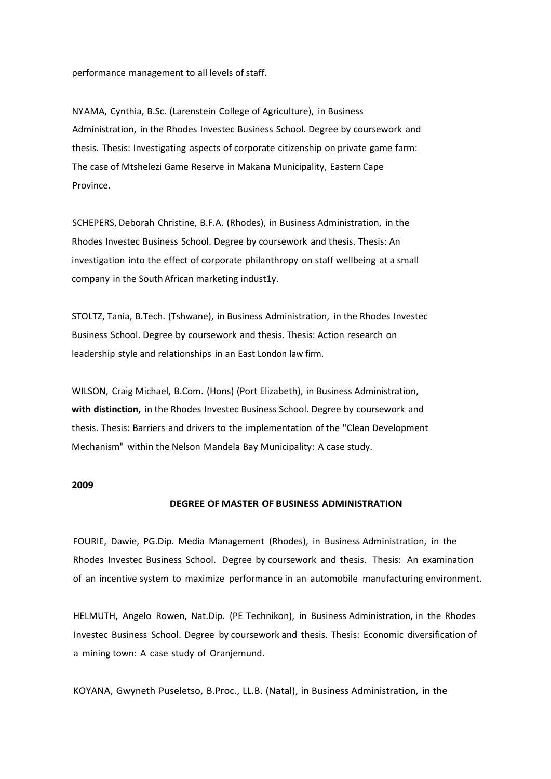performance management to all levels of staff.

NYAMA, Cynthia, B.Sc. (Larenstein College of Agriculture), in Business Administration, in the Rhodes Investec Business School. Degree by coursework and thesis. Thesis: Investigating aspects of corporate citizenship on private game farm: The case of Mtshelezi Game Reserve in Makana Municipality, Eastern Cape Province.

SCHEPERS, Deborah Christine, B.F.A. (Rhodes), in Business Administration, in the Rhodes Investec Business School. Degree by coursework and thesis. Thesis: An investigation into the effect of corporate philanthropy on staff wellbeing at a small company in the South African marketing indust1y.

STOLTZ, Tania, B.Tech. (Tshwane), in Business Administration, in the Rhodes Investec Business School. Degree by coursework and thesis. Thesis: Action research on leadership style and relationships in an East London law firm.

WILSON, Craig Michael, B.Com. (Hons) (Port Elizabeth), in Business Administration, **with distinction,** in the Rhodes Investec Business School. Degree by coursework and thesis. Thesis: Barriers and drivers to the implementation of the "Clean Development Mechanism" within the Nelson Mandela Bay Municipality: A case study.

#### **2009**

#### **DEGREE OF MASTER OF BUSINESS ADMINISTRATION**

FOURIE, Dawie, PG.Dip. Media Management (Rhodes), in Business Administration, in the Rhodes Investec Business School. Degree by coursework and thesis. Thesis: An examination of an incentive system to maximize performance in an automobile manufacturing environment.

HELMUTH, Angelo Rowen, Nat.Dip. (PE Technikon), in Business Administration, in the Rhodes Investec Business School. Degree by coursework and thesis. Thesis: Economic diversification of a mining town: A case study of Oranjemund.

KOYANA, Gwyneth Puseletso, B.Proc., LL.B. (Natal), in Business Administration, in the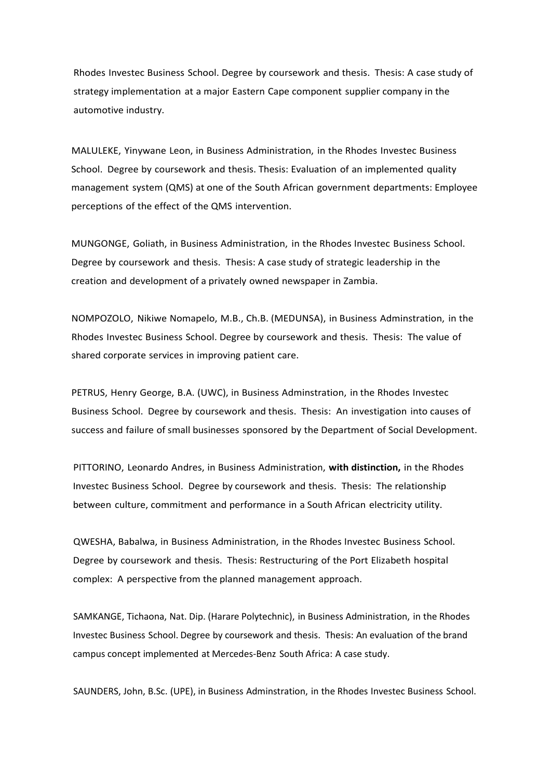Rhodes Investec Business School. Degree by coursework and thesis. Thesis: A case study of strategy implementation at a major Eastern Cape component supplier company in the automotive industry.

MALULEKE, Yinywane Leon, in Business Administration, in the Rhodes Investec Business School. Degree by coursework and thesis. Thesis: Evaluation of an implemented quality management system (QMS) at one of the South African government departments: Employee perceptions of the effect of the QMS intervention.

MUNGONGE, Goliath, in Business Administration, in the Rhodes Investec Business School. Degree by coursework and thesis. Thesis: A case study of strategic leadership in the creation and development of a privately owned newspaper in Zambia.

NOMPOZOLO, Nikiwe Nomapelo, M.B., Ch.B. (MEDUNSA), in Business Adminstration, in the Rhodes Investec Business School. Degree by coursework and thesis. Thesis: The value of shared corporate services in improving patient care.

PETRUS, Henry George, B.A. (UWC), in Business Adminstration, in the Rhodes Investec Business School. Degree by coursework and thesis. Thesis: An investigation into causes of success and failure of small businesses sponsored by the Department of Social Development.

PITTORINO, Leonardo Andres, in Business Administration, **with distinction,** in the Rhodes Investec Business School. Degree by coursework and thesis. Thesis: The relationship between culture, commitment and performance in a South African electricity utility.

QWESHA, Babalwa, in Business Administration, in the Rhodes Investec Business School. Degree by coursework and thesis. Thesis: Restructuring of the Port Elizabeth hospital complex: A perspective from the planned management approach.

SAMKANGE, Tichaona, Nat. Dip. (Harare Polytechnic), in Business Administration, in the Rhodes Investec Business School. Degree by coursework and thesis. Thesis: An evaluation of the brand campus concept implemented at Mercedes-Benz South Africa: A case study.

SAUNDERS, John, B.Sc. (UPE), in Business Adminstration, in the Rhodes Investec Business School.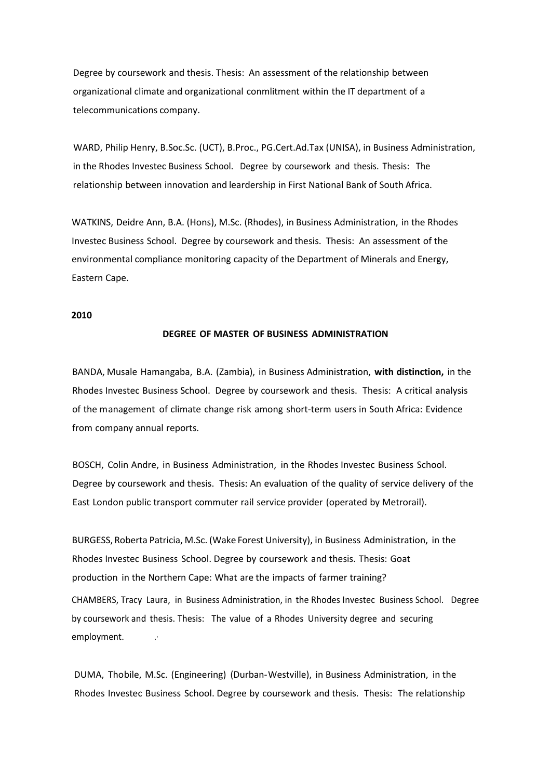Degree by coursework and thesis. Thesis: An assessment of the relationship between organizational climate and organizational conmlitment within the IT department of a telecommunications company.

WARD, Philip Henry, B.Soc.Sc. (UCT), B.Proc., PG.Cert.Ad.Tax (UNISA), in Business Administration, in the Rhodes Investec Business School. Degree by coursework and thesis. Thesis: The relationship between innovation and leardership in First National Bank of South Africa.

WATKINS, Deidre Ann, B.A. (Hons), M.Sc. (Rhodes), in Business Administration, in the Rhodes Investec Business School. Degree by coursework and thesis. Thesis: An assessment of the environmental compliance monitoring capacity of the Department of Minerals and Energy, Eastern Cape.

## **2010**

# **DEGREE OF MASTER OF BUSINESS ADMINISTRATION**

BANDA, Musale Hamangaba, B.A. (Zambia), in Business Administration, **with distinction,** in the Rhodes Investec Business School. Degree by coursework and thesis. Thesis: A critical analysis of the management of climate change risk among short-term users in South Africa: Evidence from company annual reports.

BOSCH, Colin Andre, in Business Administration, in the Rhodes Investec Business School. Degree by coursework and thesis. Thesis: An evaluation of the quality of service delivery of the East London public transport commuter rail service provider (operated by Metrorail).

BURGESS, Roberta Patricia, M.Sc. (Wake Forest University), in Business Administration, in the Rhodes Investec Business School. Degree by coursework and thesis. Thesis: Goat production in the Northern Cape: What are the impacts of farmer training? CHAMBERS, Tracy Laura, in Business Administration, in the Rhodes Investec Business School. Degree by coursework and thesis. Thesis: The value of a Rhodes University degree and securing employment.

DUMA, Thobile, M.Sc. (Engineering) (Durban-Westville), in Business Administration, in the Rhodes Investec Business School. Degree by coursework and thesis. Thesis: The relationship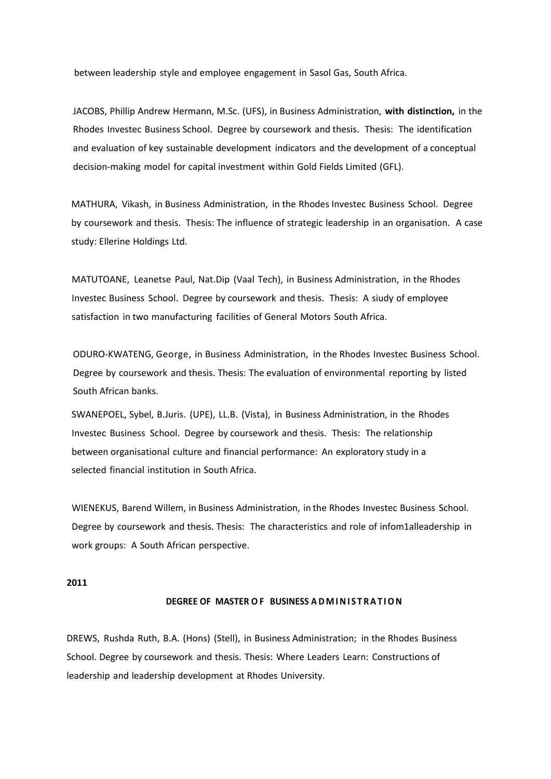between leadership style and employee engagement in Sasol Gas, South Africa.

JACOBS, Phillip Andrew Hermann, M.Sc. (UFS), in Business Administration, **with distinction,** in the Rhodes Investec Business School. Degree by coursework and thesis. Thesis: The identification and evaluation of key sustainable development indicators and the development of a conceptual decision-making model for capital investment within Gold Fields Limited (GFL).

MATHURA, Vikash, in Business Administration, in the Rhodes Investec Business School. Degree by coursework and thesis. Thesis: The influence of strategic leadership in an organisation. A case study: Ellerine Holdings Ltd.

MATUTOANE, Leanetse Paul, Nat.Dip (Vaal Tech), in Business Administration, in the Rhodes Investec Business School. Degree by coursework and thesis. Thesis: A siudy of employee satisfaction in two manufacturing facilities of General Motors South Africa.

ODURO-KWATENG, George, in Business Administration, in the Rhodes Investec Business School. Degree by coursework and thesis. Thesis: The evaluation of environmental reporting by listed South African banks.

SWANEPOEL, Sybel, B.Juris. (UPE), LL.B. (Vista), in Business Administration, in the Rhodes Investec Business School. Degree by coursework and thesis. Thesis: The relationship between organisational culture and financial performance: An exploratory study in a selected financial institution in South Africa.

WIENEKUS, Barend Willem, in Business Administration, in the Rhodes Investec Business School. Degree by coursework and thesis. Thesis: The characteristics and role of infom1alleadership in work groups: A South African perspective.

# **2011**

# **DEGREE OF MASTER O F BUSINESS A D M I N I S T R A T I O N**

DREWS, Rushda Ruth, B.A. (Hons) (Stell), in Business Administration; in the Rhodes Business School. Degree by coursework and thesis. Thesis: Where Leaders Learn: Constructions of leadership and leadership development at Rhodes University.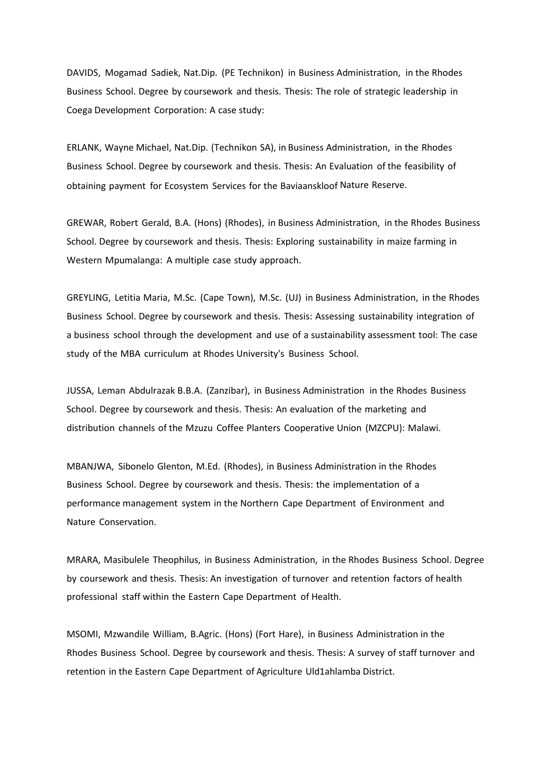DAVIDS, Mogamad Sadiek, Nat.Dip. (PE Technikon) in Business Administration, in the Rhodes Business School. Degree by coursework and thesis. Thesis: The role of strategic leadership in Coega Development Corporation: A case study:

ERLANK, Wayne Michael, Nat.Dip. (Technikon SA), in Business Administration, in the Rhodes Business School. Degree by coursework and thesis. Thesis: An Evaluation of the feasibility of obtaining payment for Ecosystem Services for the Baviaanskloof Nature Reserve.

GREWAR, Robert Gerald, B.A. (Hons) (Rhodes), in Business Administration, in the Rhodes Business School. Degree by coursework and thesis. Thesis: Exploring sustainability in maize farming in Western Mpumalanga: A multiple case study approach.

GREYLING, Letitia Maria, M.Sc. (Cape Town), M.Sc. (UJ) in Business Administration, in the Rhodes Business School. Degree by coursework and thesis. Thesis: Assessing sustainability integration of a business school through the development and use of a sustainability assessment tool: The case study of the MBA curriculum at Rhodes University's Business School.

JUSSA, Leman Abdulrazak B.B.A. (Zanzibar), in Business Administration in the Rhodes Business School. Degree by coursework and thesis. Thesis: An evaluation of the marketing and distribution channels of the Mzuzu Coffee Planters Cooperative Union (MZCPU): Malawi.

MBANJWA, Sibonelo Glenton, M.Ed. (Rhodes), in Business Administration in the Rhodes Business School. Degree by coursework and thesis. Thesis: the implementation of a performance management system in the Northern Cape Department of Environment and Nature Conservation.

MRARA, Masibulele Theophilus, in Business Administration, in the Rhodes Business School. Degree by coursework and thesis. Thesis: An investigation of turnover and retention factors of health professional staff within the Eastern Cape Department of Health.

MSOMI, Mzwandile William, B.Agric. (Hons) (Fort Hare), in Business Administration in the Rhodes Business School. Degree by coursework and thesis. Thesis: A survey of staff turnover and retention in the Eastern Cape Department of Agriculture Uld1ahlamba District.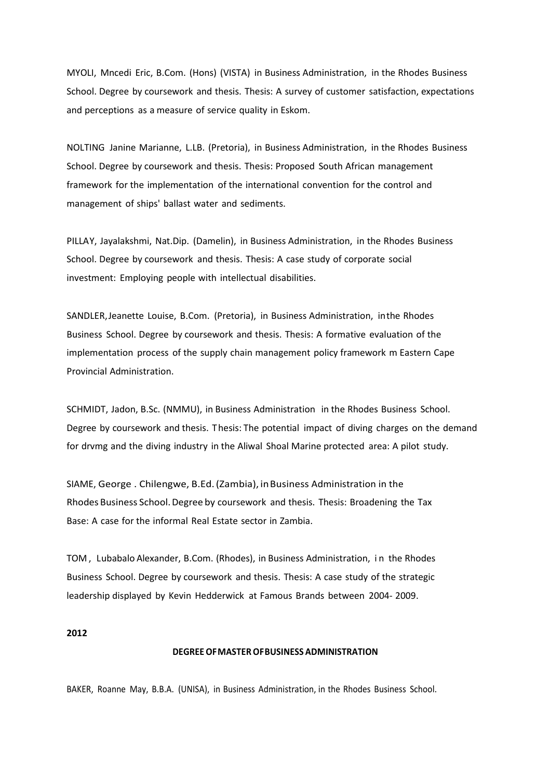MYOLI, Mncedi Eric, B.Com. (Hons) (VISTA) in Business Administration, in the Rhodes Business School. Degree by coursework and thesis. Thesis: A survey of customer satisfaction, expectations and perceptions as a measure of service quality in Eskom.

NOLTING Janine Marianne, L.LB. (Pretoria), in Business Administration, in the Rhodes Business School. Degree by coursework and thesis. Thesis: Proposed South African management framework for the implementation of the international convention for the control and management of ships' ballast water and sediments.

PILLAY, Jayalakshmi, Nat.Dip. (Damelin), in Business Administration, in the Rhodes Business School. Degree by coursework and thesis. Thesis: A case study of corporate social investment: Employing people with intellectual disabilities.

SANDLER,Jeanette Louise, B.Com. (Pretoria), in Business Administration, inthe Rhodes Business School. Degree by coursework and thesis. Thesis: A formative evaluation of the implementation process of the supply chain management policy framework m Eastern Cape Provincial Administration.

SCHMIDT, Jadon, B.Sc. (NMMU), in Business Administration in the Rhodes Business School. Degree by coursework and thesis. Thesis: The potential impact of diving charges on the demand for drvmg and the diving industry in the Aliwal Shoal Marine protected area: A pilot study.

SIAME, George . Chilengwe, B.Ed.(Zambia), inBusiness Administration in the Rhodes Business School.Degree by coursework and thesis. Thesis: Broadening the Tax Base: A case for the informal Real Estate sector in Zambia.

TOM , Lubabalo Alexander, B.Com. (Rhodes), in Business Administration, i n the Rhodes Business School. Degree by coursework and thesis. Thesis: A case study of the strategic leadership displayed by Kevin Hedderwick at Famous Brands between 2004- 2009.

### **2012**

#### **DEGREEOFMASTEROFBUSINESS ADMINISTRATION**

BAKER, Roanne May, B.B.A. (UNISA), in Business Administration, in the Rhodes Business School.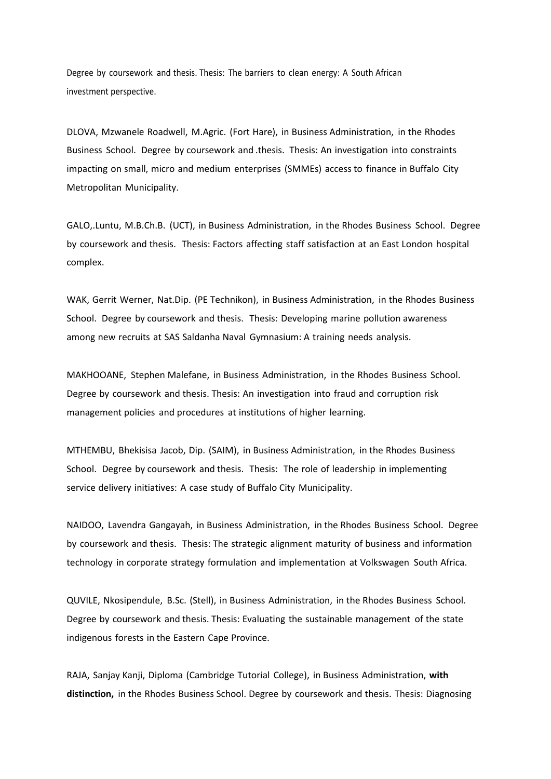Degree by coursework and thesis. Thesis: The barriers to clean energy: A South African investment perspective.

DLOVA, Mzwanele Roadwell, M.Agric. (Fort Hare), in Business Administration, in the Rhodes Business School. Degree by coursework and .thesis. Thesis: An investigation into constraints impacting on small, micro and medium enterprises (SMMEs) access to finance in Buffalo City Metropolitan Municipality.

GALO,.Luntu, M.B.Ch.B. (UCT), in Business Administration, in the Rhodes Business School. Degree by coursework and thesis. Thesis: Factors affecting staff satisfaction at an East London hospital complex.

WAK, Gerrit Werner, Nat.Dip. (PE Technikon), in Business Administration, in the Rhodes Business School. Degree by coursework and thesis. Thesis: Developing marine pollution awareness among new recruits at SAS Saldanha Naval Gymnasium: A training needs analysis.

MAKHOOANE, Stephen Malefane, in Business Administration, in the Rhodes Business School. Degree by coursework and thesis. Thesis: An investigation into fraud and corruption risk management policies and procedures at institutions of higher learning.

MTHEMBU, Bhekisisa Jacob, Dip. (SAIM), in Business Administration, in the Rhodes Business School. Degree by coursework and thesis. Thesis: The role of leadership in implementing service delivery initiatives: A case study of Buffalo City Municipality.

NAIDOO, Lavendra Gangayah, in Business Administration, in the Rhodes Business School. Degree by coursework and thesis. Thesis: The strategic alignment maturity of business and information technology in corporate strategy formulation and implementation at Volkswagen South Africa.

QUVILE, Nkosipendule, B.Sc. (Stell), in Business Administration, in the Rhodes Business School. Degree by coursework and thesis. Thesis: Evaluating the sustainable management of the state indigenous forests in the Eastern Cape Province.

RAJA, Sanjay Kanji, Diploma (Cambridge Tutorial College), in Business Administration, **with distinction,** in the Rhodes Business School. Degree by coursework and thesis. Thesis: Diagnosing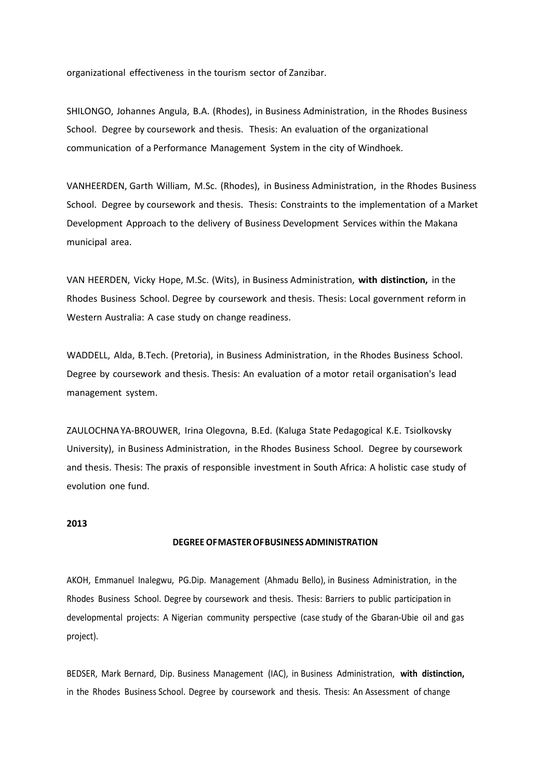organizational effectiveness in the tourism sector of Zanzibar.

SHILONGO, Johannes Angula, B.A. (Rhodes), in Business Administration, in the Rhodes Business School. Degree by coursework and thesis. Thesis: An evaluation of the organizational communication of a Performance Management System in the city of Windhoek.

VANHEERDEN, Garth William, M.Sc. (Rhodes), in Business Administration, in the Rhodes Business School. Degree by coursework and thesis. Thesis: Constraints to the implementation of a Market Development Approach to the delivery of Business Development Services within the Makana municipal area.

VAN HEERDEN, Vicky Hope, M.Sc. (Wits), in Business Administration, **with distinction,** in the Rhodes Business School. Degree by coursework and thesis. Thesis: Local government reform in Western Australia: A case study on change readiness.

WADDELL, Alda, B.Tech. (Pretoria), in Business Administration, in the Rhodes Business School. Degree by coursework and thesis. Thesis: An evaluation of a motor retail organisation's lead management system.

ZAULOCHNAYA-BROUWER, Irina Olegovna, B.Ed. (Kaluga State Pedagogical K.E. Tsiolkovsky University), in Business Administration, in the Rhodes Business School. Degree by coursework and thesis. Thesis: The praxis of responsible investment in South Africa: A holistic case study of evolution one fund.

## **2013**

#### **DEGREE OFMASTEROFBUSINESS ADMINISTRATION**

AKOH, Emmanuel Inalegwu, PG.Dip. Management (Ahmadu Bello), in Business Administration, in the Rhodes Business School. Degree by coursework and thesis. Thesis: Barriers to public participation in developmental projects: A Nigerian community perspective (case study of the Gbaran-Ubie oil and gas project).

BEDSER, Mark Bernard, Dip. Business Management (IAC), in Business Administration, **with distinction,**  in the Rhodes Business School. Degree by coursework and thesis. Thesis: An Assessment of change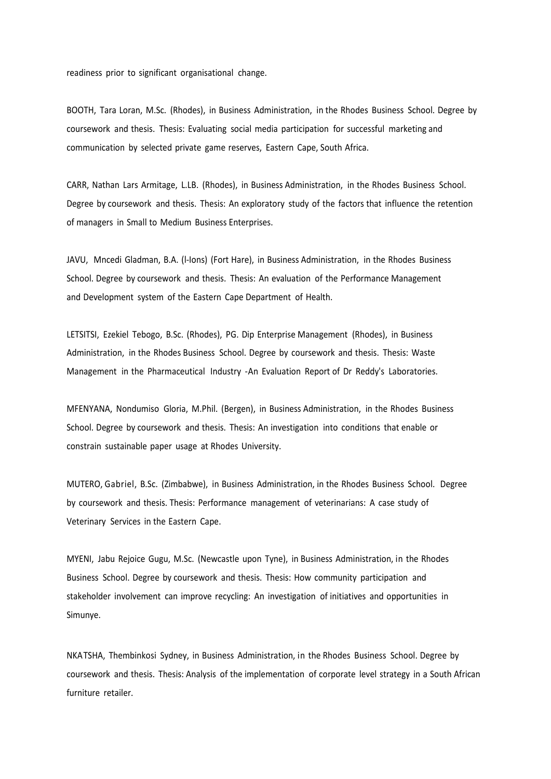readiness prior to significant organisational change.

BOOTH, Tara Loran, M.Sc. (Rhodes), in Business Administration, in the Rhodes Business School. Degree by coursework and thesis. Thesis: Evaluating social media participation for successful marketing and communication by selected private game reserves, Eastern Cape, South Africa.

CARR, Nathan Lars Armitage, L.LB. (Rhodes), in Business Administration, in the Rhodes Business School. Degree by coursework and thesis. Thesis: An exploratory study of the factors that influence the retention of managers in Small to Medium Business Enterprises.

JAVU, Mncedi Gladman, B.A. (l-Ions) (Fort Hare), in Business Administration, in the Rhodes Business School. Degree by coursework and thesis. Thesis: An evaluation of the Performance Management and Development system of the Eastern Cape Department of Health.

LETSITSI, Ezekiel Tebogo, B.Sc. (Rhodes), PG. Dip Enterprise Management (Rhodes), in Business Administration, in the Rhodes Business School. Degree by coursework and thesis. Thesis: Waste Management in the Pharmaceutical Industry -An Evaluation Report of Dr Reddy's Laboratories.

MFENYANA, Nondumiso Gloria, M.Phil. (Bergen), in Business Administration, in the Rhodes Business School. Degree by coursework and thesis. Thesis: An investigation into conditions that enable or constrain sustainable paper usage at Rhodes University.

MUTERO, Gabriel, B.Sc. (Zimbabwe), in Business Administration, in the Rhodes Business School. Degree by coursework and thesis. Thesis: Performance management of veterinarians: A case study of Veterinary Services in the Eastern Cape.

MYENI, Jabu Rejoice Gugu, M.Sc. (Newcastle upon Tyne), in Business Administration, in the Rhodes Business School. Degree by coursework and thesis. Thesis: How community participation and stakeholder involvement can improve recycling: An investigation of initiatives and opportunities in Simunye.

NKATSHA, Thembinkosi Sydney, in Business Administration, in the Rhodes Business School. Degree by coursework and thesis. Thesis: Analysis of the implementation of corporate level strategy in a South African furniture retailer.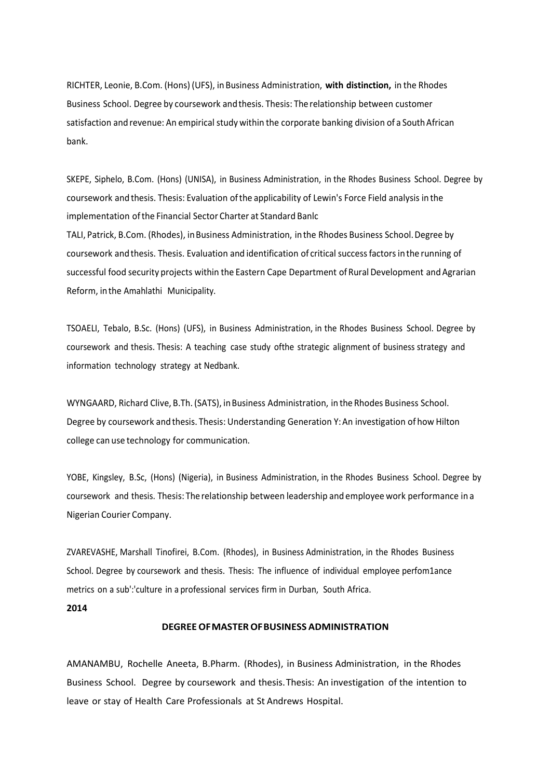RICHTER, Leonie, B.Com. (Hons) (UFS), inBusiness Administration, **with distinction,** in the Rhodes Business School. Degree by coursework andthesis. Thesis: The relationship between customer satisfaction and revenue: An empirical study within the corporate banking division of a South African bank.

SKEPE, Siphelo, B.Com. (Hons) (UNISA), in Business Administration, in the Rhodes Business School. Degree by coursework and thesis. Thesis: Evaluation ofthe applicability of Lewin's Force Field analysis in the implementation ofthe Financial Sector Charter at Standard Banlc

TALI, Patrick, B.Com. (Rhodes), in Business Administration, in the Rhodes Business School. Degree by coursework and thesis. Thesis. Evaluation and identification of critical successfactorsinthe running of successful food security projects within the Eastern Cape Department of Rural Development and Agrarian Reform, inthe Amahlathi Municipality.

TSOAELI, Tebalo, B.Sc. (Hons) (UFS), in Business Administration, in the Rhodes Business School. Degree by coursework and thesis. Thesis: A teaching case study ofthe strategic alignment of business strategy and information technology strategy at Nedbank.

WYNGAARD, Richard Clive, B.Th. (SATS), inBusiness Administration, in the Rhodes Business School. Degree by coursework andthesis. Thesis: Understanding Generation Y:An investigation of how Hilton college can use technology for communication.

YOBE, Kingsley, B.Sc, (Hons) (Nigeria), in Business Administration, in the Rhodes Business School. Degree by coursework and thesis. Thesis: The relationship between leadership and employee work performance in a Nigerian Courier Company.

ZVAREVASHE, Marshall Tinofirei, B.Com. (Rhodes), in Business Administration, in the Rhodes Business School. Degree by coursework and thesis. Thesis: The influence of individual employee perfom1ance metrics on a sub':'culture in a professional services firm in Durban, South Africa.

#### **2014**

#### **DEGREEOFMASTEROFBUSINESS ADMINISTRATION**

AMANAMBU, Rochelle Aneeta, B.Pharm. (Rhodes), in Business Administration, in the Rhodes Business School. Degree by coursework and thesis. Thesis: An investigation of the intention to leave or stay of Health Care Professionals at St Andrews Hospital.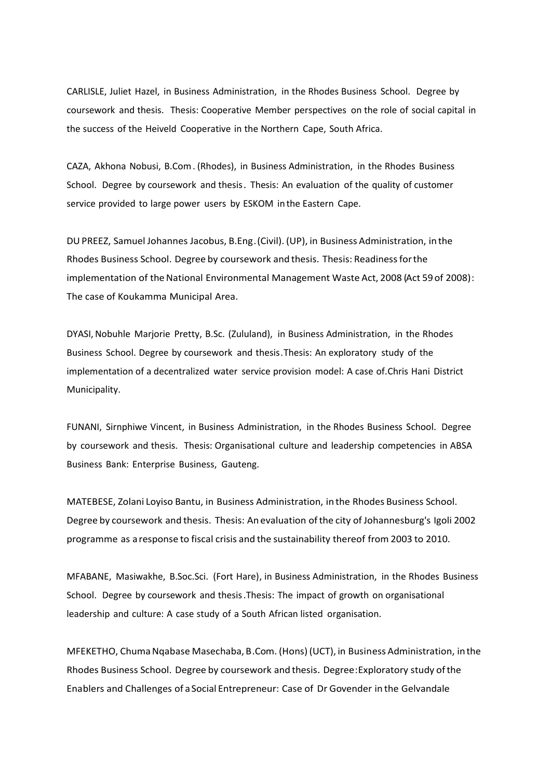CARLISLE, Juliet Hazel, in Business Administration, in the Rhodes Business School. Degree by coursework and thesis. Thesis: Cooperative Member perspectives on the role of social capital in the success of the Heiveld Cooperative in the Northern Cape, South Africa.

CAZA, Akhona Nobusi, B.Com. (Rhodes), in Business Administration, in the Rhodes Business School. Degree by coursework and thesis. Thesis: An evaluation of the quality of customer service provided to large power users by ESKOM in the Eastern Cape.

DUPREEZ, Samuel Johannes Jacobus, B.Eng.(Civil). (UP), in Business Administration, in the Rhodes Business School. Degree by coursework and thesis. Thesis: Readinessforthe implementation of the National Environmental Management Waste Act, 2008 (Act 59 of 2008): The case of Koukamma Municipal Area.

DYASI, Nobuhle Marjorie Pretty, B.Sc. (Zululand), in Business Administration, in the Rhodes Business School. Degree by coursework and thesis.Thesis: An exploratory study of the implementation of a decentralized water service provision model: A case of.Chris Hani District Municipality.

FUNANI, Sirnphiwe Vincent, in Business Administration, in the Rhodes Business School. Degree by coursework and thesis. Thesis: Organisational culture and leadership competencies in ABSA Business Bank: Enterprise Business, Gauteng.

MATEBESE, Zolani Loyiso Bantu, in Business Administration, in the Rhodes Business School. Degree by coursework and thesis. Thesis: An evaluation ofthe city of Johannesburg's Igoli 2002 programme as a response to fiscal crisis and the sustainability thereof from 2003 to 2010.

MFABANE, Masiwakhe, B.Soc.Sci. (Fort Hare), in Business Administration, in the Rhodes Business School. Degree by coursework and thesis. Thesis: The impact of growth on organisational leadership and culture: A case study of a South African listed organisation.

MFEKETHO, Chuma Nqabase Masechaba, B.Com. (Hons) (UCT), in Business Administration, in the Rhodes Business School. Degree by coursework and thesis. Degree:Exploratory study ofthe Enablers and Challenges of a Social Entrepreneur: Case of Dr Govender in the Gelvandale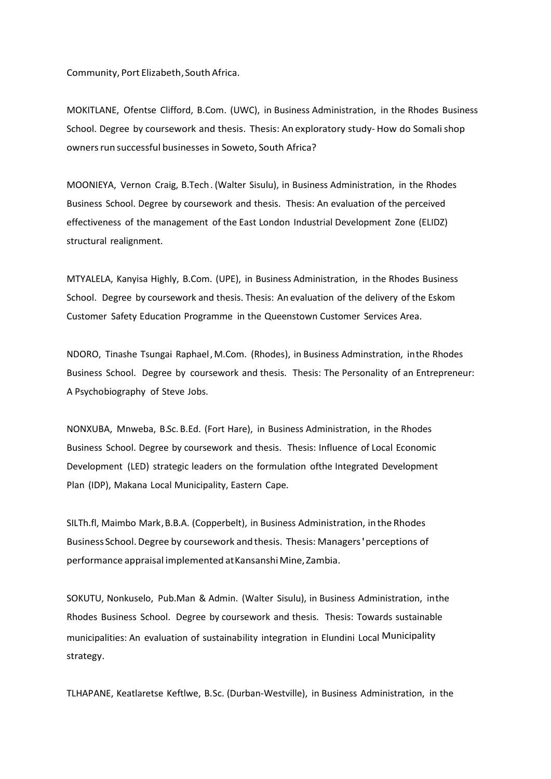Community, Port Elizabeth,South Africa.

MOKITLANE, Ofentse Clifford, B.Com. (UWC), in Business Administration, in the Rhodes Business School. Degree by coursework and thesis. Thesis: An exploratory study- How do Somalishop owners run successful businesses in Soweto, South Africa?

MOONIEYA, Vernon Craig, B.Tech. (Walter Sisulu), in Business Administration, in the Rhodes Business School. Degree by coursework and thesis. Thesis: An evaluation of the perceived effectiveness of the management of the East London Industrial Development Zone (ELIDZ) structural realignment.

MTYALELA, Kanyisa Highly, B.Com. (UPE), in Business Administration, in the Rhodes Business School. Degree by coursework and thesis. Thesis: An evaluation of the delivery of the Eskom Customer Safety Education Programme in the Queenstown Customer Services Area.

NDORO, Tinashe Tsungai Raphael, M.Com. (Rhodes), in Business Adminstration, in the Rhodes Business School. Degree by coursework and thesis. Thesis: The Personality of an Entrepreneur: A Psychobiography of Steve Jobs.

NONXUBA, Mnweba, B.Sc. B.Ed. (Fort Hare), in Business Administration, in the Rhodes Business School. Degree by coursework and thesis. Thesis: Influence of Local Economic Development (LED) strategic leaders on the formulation ofthe Integrated Development Plan (IDP), Makana Local Municipality, Eastern Cape.

SILTh.fl, Maimbo Mark,B.B.A. (Copperbelt), in Business Administration, in the Rhodes Business School.Degree by coursework and thesis. Thesis: Managers'perceptions of performance appraisal implemented at Kansanshi Mine, Zambia.

SOKUTU, Nonkuselo, Pub.Man & Admin. (Walter Sisulu), in Business Administration, inthe Rhodes Business School. Degree by coursework and thesis. Thesis: Towards sustainable municipalities: An evaluation of sustainability integration in Elundini Local Municipality strategy.

TLHAPANE, Keatlaretse Keftlwe, B.Sc. (Durban-Westville), in Business Administration, in the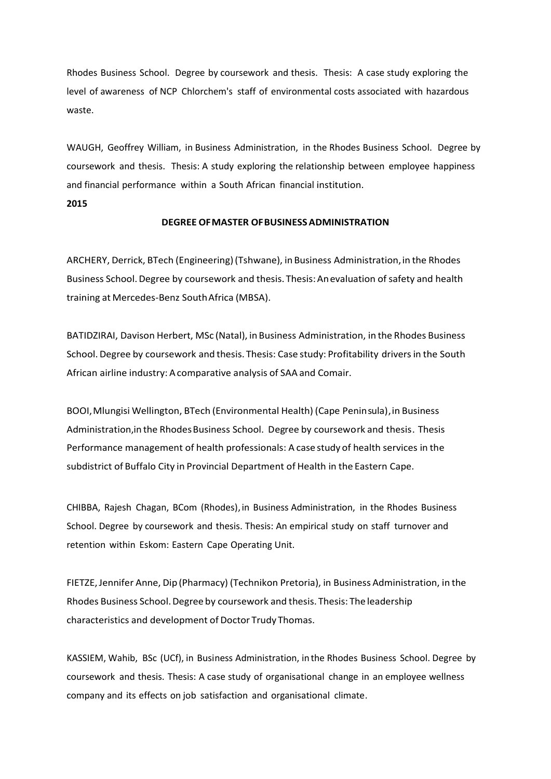Rhodes Business School. Degree by coursework and thesis. Thesis: A case study exploring the level of awareness of NCP Chlorchem's staff of environmental costs associated with hazardous waste.

WAUGH, Geoffrey William, in Business Administration, in the Rhodes Business School. Degree by coursework and thesis. Thesis: A study exploring the relationship between employee happiness and financial performance within a South African financial institution.

## **2015**

## **DEGREE OFMASTER OFBUSINESSADMINISTRATION**

ARCHERY, Derrick, BTech (Engineering) (Tshwane), in Business Administration, in the Rhodes Business School. Degree by coursework and thesis. Thesis: Anevaluation of safety and health training at Mercedes-Benz SouthAfrica (MBSA).

BATIDZIRAI, Davison Herbert, MSc (Natal), inBusiness Administration, in the Rhodes Business School. Degree by coursework and thesis. Thesis: Case study: Profitability drivers in the South African airline industry: Acomparative analysis of SAA and Comair.

BOOI,Mlungisi Wellington, BTech (Environmental Health) (Cape Peninsula),in Business Administration, in the Rhodes Business School. Degree by coursework and thesis. Thesis Performance management of health professionals: A case study of health services in the subdistrict of Buffalo City in Provincial Department of Health in the Eastern Cape.

CHIBBA, Rajesh Chagan, BCom (Rhodes),in Business Administration, in the Rhodes Business School. Degree by coursework and thesis. Thesis: An empirical study on staff turnover and retention within Eskom: Eastern Cape Operating Unit.

FIETZE,Jennifer Anne, Dip (Pharmacy) (Technikon Pretoria), in Business Administration, in the Rhodes Business School.Degree by coursework and thesis. Thesis: The leadership characteristics and development of Doctor Trudy Thomas.

KASSIEM, Wahib, BSc (UCf), in Business Administration, in the Rhodes Business School. Degree by coursework and thesis. Thesis: A case study of organisational change in an employee wellness company and its effects on job satisfaction and organisational climate.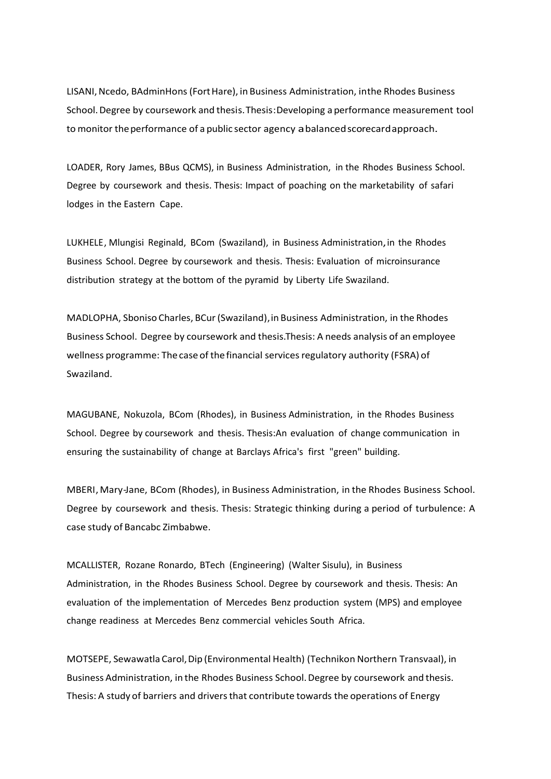LISANI, Ncedo, BAdminHons (Fort Hare), in Business Administration, inthe Rhodes Business School.Degree by coursework and thesis.Thesis:Developing a performance measurement tool to monitor theperformance of a public sector agency abalancedscorecardapproach.

LOADER, Rory James, BBus QCMS), in Business Administration, in the Rhodes Business School. Degree by coursework and thesis. Thesis: Impact of poaching on the marketability of safari lodges in the Eastern Cape.

LUKHELE, Mlungisi Reginald, BCom (Swaziland), in Business Administration,in the Rhodes Business School. Degree by coursework and thesis. Thesis: Evaluation of microinsurance distribution strategy at the bottom of the pyramid by Liberty Life Swaziland.

MADLOPHA, Sboniso Charles, BCur(Swaziland),in Business Administration, in the Rhodes Business School. Degree by coursework and thesis. Thesis: A needs analysis of an employee wellness programme: The case of the financial services regulatory authority (FSRA) of Swaziland.

MAGUBANE, Nokuzola, BCom (Rhodes), in Business Administration, in the Rhodes Business School. Degree by coursework and thesis. Thesis:An evaluation of change communication in ensuring the sustainability of change at Barclays Africa's first "green" building.

MBERI, Mary-Jane, BCom (Rhodes), in Business Administration, in the Rhodes Business School. Degree by coursework and thesis. Thesis: Strategic thinking during a period of turbulence: A case study of Bancabc Zimbabwe.

MCALLISTER, Rozane Ronardo, BTech (Engineering) (Walter Sisulu), in Business Administration, in the Rhodes Business School. Degree by coursework and thesis. Thesis: An evaluation of the implementation of Mercedes Benz production system (MPS) and employee change readiness at Mercedes Benz commercial vehicles South Africa.

MOTSEPE, Sewawatla Carol,Dip (Environmental Health) (Technikon Northern Transvaal), in Business Administration, in the Rhodes Business School. Degree by coursework and thesis. Thesis: A study of barriers and drivers that contribute towards the operations of Energy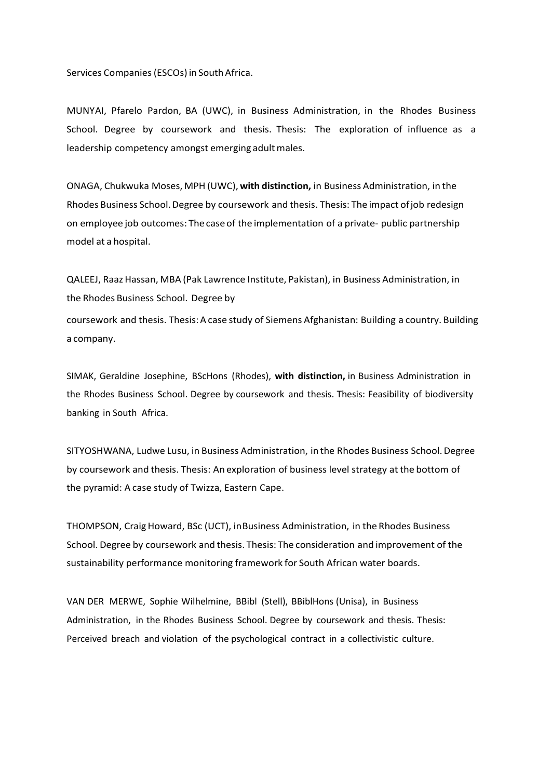Services Companies (ESCOs) in South Africa.

MUNYAI, Pfarelo Pardon, BA (UWC), in Business Administration, in the Rhodes Business School. Degree by coursework and thesis. Thesis: The exploration of influence as a leadership competency amongst emerging adult males.

ONAGA, Chukwuka Moses, MPH (UWC), **with distinction,** in Business Administration, in the Rhodes Business School.Degree by coursework and thesis. Thesis: The impact ofjob redesign on employee job outcomes: The caseof the implementation of a private- public partnership model at a hospital.

QALEEJ, Raaz Hassan, MBA (Pak Lawrence Institute, Pakistan), in Business Administration, in the Rhodes Business School. Degree by coursework and thesis. Thesis: A case study of Siemens Afghanistan: Building a country. Building a company.

SIMAK, Geraldine Josephine, BScHons (Rhodes), **with distinction,** in Business Administration in the Rhodes Business School. Degree by coursework and thesis. Thesis: Feasibility of biodiversity banking in South Africa.

SITYOSHWANA, Ludwe Lusu, in Business Administration, in the Rhodes Business School.Degree by coursework and thesis. Thesis: An exploration of business level strategy at the bottom of the pyramid: A case study of Twizza, Eastern Cape.

THOMPSON, CraigHoward, BSc (UCT), inBusiness Administration, in the Rhodes Business School. Degree by coursework and thesis. Thesis: The consideration and improvement of the sustainability performance monitoring framework for South African water boards.

VAN DER MERWE, Sophie Wilhelmine, BBibl (Stell), BBiblHons (Unisa), in Business Administration, in the Rhodes Business School. Degree by coursework and thesis. Thesis: Perceived breach and violation of the psychological contract in a collectivistic culture.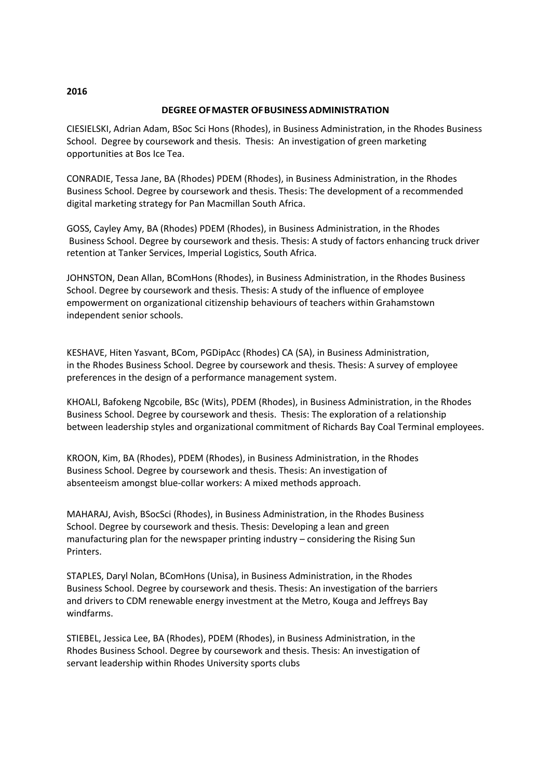# **DEGREE OFMASTER OFBUSINESSADMINISTRATION**

CIESIELSKI, Adrian Adam, BSoc Sci Hons (Rhodes), in Business Administration, in the Rhodes Business School. Degree by coursework and thesis. Thesis: An investigation of green marketing opportunities at Bos Ice Tea.

CONRADIE, Tessa Jane, BA (Rhodes) PDEM (Rhodes), in Business Administration, in the Rhodes Business School. Degree by coursework and thesis. Thesis: The development of a recommended digital marketing strategy for Pan Macmillan South Africa.

GOSS, Cayley Amy, BA (Rhodes) PDEM (Rhodes), in Business Administration, in the Rhodes Business School. Degree by coursework and thesis. Thesis: A study of factors enhancing truck driver retention at Tanker Services, Imperial Logistics, South Africa.

JOHNSTON, Dean Allan, BComHons (Rhodes), in Business Administration, in the Rhodes Business School. Degree by coursework and thesis. Thesis: A study of the influence of employee empowerment on organizational citizenship behaviours of teachers within Grahamstown independent senior schools.

KESHAVE, Hiten Yasvant, BCom, PGDipAcc (Rhodes) CA (SA), in Business Administration, in the Rhodes Business School. Degree by coursework and thesis. Thesis: A survey of employee preferences in the design of a performance management system.

KHOALI, Bafokeng Ngcobile, BSc (Wits), PDEM (Rhodes), in Business Administration, in the Rhodes Business School. Degree by coursework and thesis. Thesis: The exploration of a relationship between leadership styles and organizational commitment of Richards Bay Coal Terminal employees.

KROON, Kim, BA (Rhodes), PDEM (Rhodes), in Business Administration, in the Rhodes Business School. Degree by coursework and thesis. Thesis: An investigation of absenteeism amongst blue-collar workers: A mixed methods approach.

MAHARAJ, Avish, BSocSci (Rhodes), in Business Administration, in the Rhodes Business School. Degree by coursework and thesis. Thesis: Developing a lean and green manufacturing plan for the newspaper printing industry – considering the Rising Sun Printers.

STAPLES, Daryl Nolan, BComHons (Unisa), in Business Administration, in the Rhodes Business School. Degree by coursework and thesis. Thesis: An investigation of the barriers and drivers to CDM renewable energy investment at the Metro, Kouga and Jeffreys Bay windfarms.

STIEBEL, Jessica Lee, BA (Rhodes), PDEM (Rhodes), in Business Administration, in the Rhodes Business School. Degree by coursework and thesis. Thesis: An investigation of servant leadership within Rhodes University sports clubs

# **2016**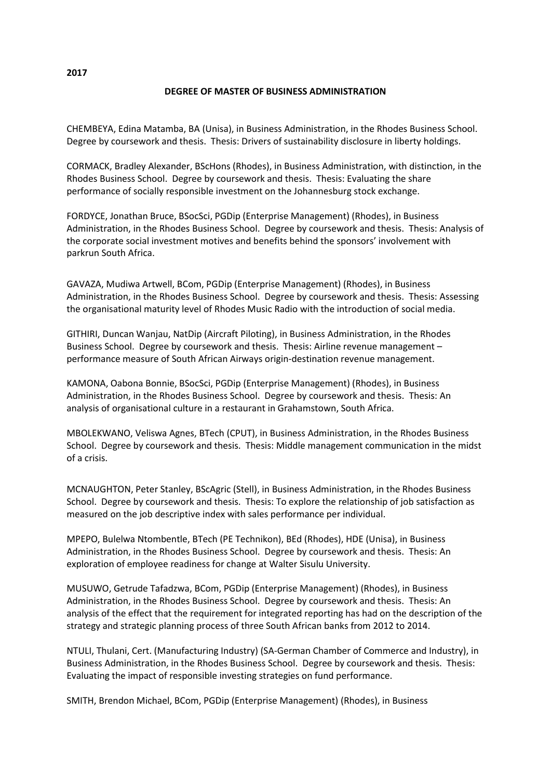# **DEGREE OF MASTER OF BUSINESS ADMINISTRATION**

CHEMBEYA, Edina Matamba, BA (Unisa), in Business Administration, in the Rhodes Business School. Degree by coursework and thesis. Thesis: Drivers of sustainability disclosure in liberty holdings.

CORMACK, Bradley Alexander, BScHons (Rhodes), in Business Administration, with distinction, in the Rhodes Business School. Degree by coursework and thesis. Thesis: Evaluating the share performance of socially responsible investment on the Johannesburg stock exchange.

FORDYCE, Jonathan Bruce, BSocSci, PGDip (Enterprise Management) (Rhodes), in Business Administration, in the Rhodes Business School. Degree by coursework and thesis. Thesis: Analysis of the corporate social investment motives and benefits behind the sponsors' involvement with parkrun South Africa.

GAVAZA, Mudiwa Artwell, BCom, PGDip (Enterprise Management) (Rhodes), in Business Administration, in the Rhodes Business School. Degree by coursework and thesis. Thesis: Assessing the organisational maturity level of Rhodes Music Radio with the introduction of social media.

GITHIRI, Duncan Wanjau, NatDip (Aircraft Piloting), in Business Administration, in the Rhodes Business School. Degree by coursework and thesis. Thesis: Airline revenue management – performance measure of South African Airways origin-destination revenue management.

KAMONA, Oabona Bonnie, BSocSci, PGDip (Enterprise Management) (Rhodes), in Business Administration, in the Rhodes Business School. Degree by coursework and thesis. Thesis: An analysis of organisational culture in a restaurant in Grahamstown, South Africa.

MBOLEKWANO, Veliswa Agnes, BTech (CPUT), in Business Administration, in the Rhodes Business School. Degree by coursework and thesis. Thesis: Middle management communication in the midst of a crisis.

MCNAUGHTON, Peter Stanley, BScAgric (Stell), in Business Administration, in the Rhodes Business School. Degree by coursework and thesis. Thesis: To explore the relationship of job satisfaction as measured on the job descriptive index with sales performance per individual.

MPEPO, Bulelwa Ntombentle, BTech (PE Technikon), BEd (Rhodes), HDE (Unisa), in Business Administration, in the Rhodes Business School. Degree by coursework and thesis. Thesis: An exploration of employee readiness for change at Walter Sisulu University.

MUSUWO, Getrude Tafadzwa, BCom, PGDip (Enterprise Management) (Rhodes), in Business Administration, in the Rhodes Business School. Degree by coursework and thesis. Thesis: An analysis of the effect that the requirement for integrated reporting has had on the description of the strategy and strategic planning process of three South African banks from 2012 to 2014.

NTULI, Thulani, Cert. (Manufacturing Industry) (SA-German Chamber of Commerce and Industry), in Business Administration, in the Rhodes Business School. Degree by coursework and thesis. Thesis: Evaluating the impact of responsible investing strategies on fund performance.

SMITH, Brendon Michael, BCom, PGDip (Enterprise Management) (Rhodes), in Business

**2017**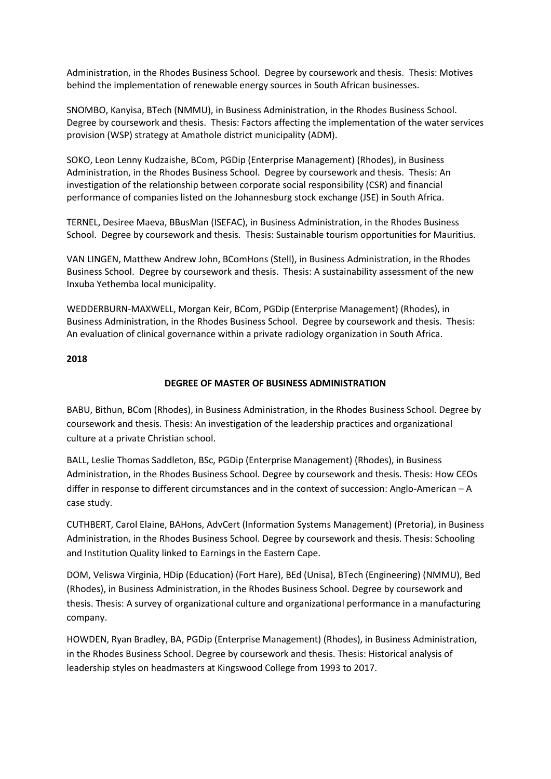Administration, in the Rhodes Business School. Degree by coursework and thesis. Thesis: Motives behind the implementation of renewable energy sources in South African businesses.

SNOMBO, Kanyisa, BTech (NMMU), in Business Administration, in the Rhodes Business School. Degree by coursework and thesis. Thesis: Factors affecting the implementation of the water services provision (WSP) strategy at Amathole district municipality (ADM).

SOKO, Leon Lenny Kudzaishe, BCom, PGDip (Enterprise Management) (Rhodes), in Business Administration, in the Rhodes Business School. Degree by coursework and thesis. Thesis: An investigation of the relationship between corporate social responsibility (CSR) and financial performance of companies listed on the Johannesburg stock exchange (JSE) in South Africa.

TERNEL, Desiree Maeva, BBusMan (ISEFAC), in Business Administration, in the Rhodes Business School. Degree by coursework and thesis. Thesis: Sustainable tourism opportunities for Mauritius.

VAN LINGEN, Matthew Andrew John, BComHons (Stell), in Business Administration, in the Rhodes Business School. Degree by coursework and thesis. Thesis: A sustainability assessment of the new Inxuba Yethemba local municipality.

WEDDERBURN-MAXWELL, Morgan Keir, BCom, PGDip (Enterprise Management) (Rhodes), in Business Administration, in the Rhodes Business School. Degree by coursework and thesis. Thesis: An evaluation of clinical governance within a private radiology organization in South Africa.

# **2018**

# **DEGREE OF MASTER OF BUSINESS ADMINISTRATION**

BABU, Bithun, BCom (Rhodes), in Business Administration, in the Rhodes Business School. Degree by coursework and thesis. Thesis: An investigation of the leadership practices and organizational culture at a private Christian school.

BALL, Leslie Thomas Saddleton, BSc, PGDip (Enterprise Management) (Rhodes), in Business Administration, in the Rhodes Business School. Degree by coursework and thesis. Thesis: How CEOs differ in response to different circumstances and in the context of succession: Anglo-American – A case study.

CUTHBERT, Carol Elaine, BAHons, AdvCert (Information Systems Management) (Pretoria), in Business Administration, in the Rhodes Business School. Degree by coursework and thesis. Thesis: Schooling and Institution Quality linked to Earnings in the Eastern Cape.

DOM, Veliswa Virginia, HDip (Education) (Fort Hare), BEd (Unisa), BTech (Engineering) (NMMU), Bed (Rhodes), in Business Administration, in the Rhodes Business School. Degree by coursework and thesis. Thesis: A survey of organizational culture and organizational performance in a manufacturing company.

HOWDEN, Ryan Bradley, BA, PGDip (Enterprise Management) (Rhodes), in Business Administration, in the Rhodes Business School. Degree by coursework and thesis. Thesis: Historical analysis of leadership styles on headmasters at Kingswood College from 1993 to 2017.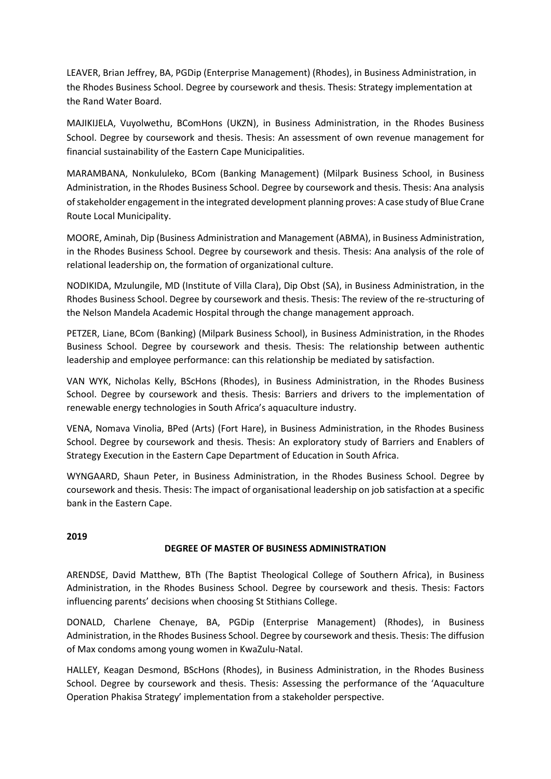LEAVER, Brian Jeffrey, BA, PGDip (Enterprise Management) (Rhodes), in Business Administration, in the Rhodes Business School. Degree by coursework and thesis. Thesis: Strategy implementation at the Rand Water Board.

MAJIKIJELA, Vuyolwethu, BComHons (UKZN), in Business Administration, in the Rhodes Business School. Degree by coursework and thesis. Thesis: An assessment of own revenue management for financial sustainability of the Eastern Cape Municipalities.

MARAMBANA, Nonkululeko, BCom (Banking Management) (Milpark Business School, in Business Administration, in the Rhodes Business School. Degree by coursework and thesis. Thesis: Ana analysis of stakeholder engagement in the integrated development planning proves: A case study of Blue Crane Route Local Municipality.

MOORE, Aminah, Dip (Business Administration and Management (ABMA), in Business Administration, in the Rhodes Business School. Degree by coursework and thesis. Thesis: Ana analysis of the role of relational leadership on, the formation of organizational culture.

NODIKIDA, Mzulungile, MD (Institute of Villa Clara), Dip Obst (SA), in Business Administration, in the Rhodes Business School. Degree by coursework and thesis. Thesis: The review of the re-structuring of the Nelson Mandela Academic Hospital through the change management approach.

PETZER, Liane, BCom (Banking) (Milpark Business School), in Business Administration, in the Rhodes Business School. Degree by coursework and thesis. Thesis: The relationship between authentic leadership and employee performance: can this relationship be mediated by satisfaction.

VAN WYK, Nicholas Kelly, BScHons (Rhodes), in Business Administration, in the Rhodes Business School. Degree by coursework and thesis. Thesis: Barriers and drivers to the implementation of renewable energy technologies in South Africa's aquaculture industry.

VENA, Nomava Vinolia, BPed (Arts) (Fort Hare), in Business Administration, in the Rhodes Business School. Degree by coursework and thesis. Thesis: An exploratory study of Barriers and Enablers of Strategy Execution in the Eastern Cape Department of Education in South Africa.

WYNGAARD, Shaun Peter, in Business Administration, in the Rhodes Business School. Degree by coursework and thesis. Thesis: The impact of organisational leadership on job satisfaction at a specific bank in the Eastern Cape.

# **2019**

# **DEGREE OF MASTER OF BUSINESS ADMINISTRATION**

ARENDSE, David Matthew, BTh (The Baptist Theological College of Southern Africa), in Business Administration, in the Rhodes Business School. Degree by coursework and thesis. Thesis: Factors influencing parents' decisions when choosing St Stithians College.

DONALD, Charlene Chenaye, BA, PGDip (Enterprise Management) (Rhodes), in Business Administration, in the Rhodes Business School. Degree by coursework and thesis. Thesis: The diffusion of Max condoms among young women in KwaZulu-Natal.

HALLEY, Keagan Desmond, BScHons (Rhodes), in Business Administration, in the Rhodes Business School. Degree by coursework and thesis. Thesis: Assessing the performance of the 'Aquaculture Operation Phakisa Strategy' implementation from a stakeholder perspective.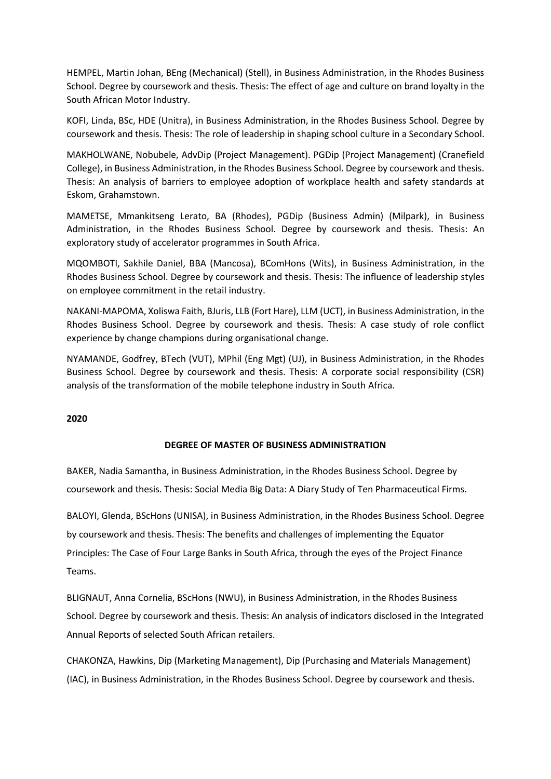HEMPEL, Martin Johan, BEng (Mechanical) (Stell), in Business Administration, in the Rhodes Business School. Degree by coursework and thesis. Thesis: The effect of age and culture on brand loyalty in the South African Motor Industry.

KOFI, Linda, BSc, HDE (Unitra), in Business Administration, in the Rhodes Business School. Degree by coursework and thesis. Thesis: The role of leadership in shaping school culture in a Secondary School.

MAKHOLWANE, Nobubele, AdvDip (Project Management). PGDip (Project Management) (Cranefield College), in Business Administration, in the Rhodes Business School. Degree by coursework and thesis. Thesis: An analysis of barriers to employee adoption of workplace health and safety standards at Eskom, Grahamstown.

MAMETSE, Mmankitseng Lerato, BA (Rhodes), PGDip (Business Admin) (Milpark), in Business Administration, in the Rhodes Business School. Degree by coursework and thesis. Thesis: An exploratory study of accelerator programmes in South Africa.

MQOMBOTI, Sakhile Daniel, BBA (Mancosa), BComHons (Wits), in Business Administration, in the Rhodes Business School. Degree by coursework and thesis. Thesis: The influence of leadership styles on employee commitment in the retail industry.

NAKANI-MAPOMA, Xoliswa Faith, BJuris, LLB (Fort Hare), LLM (UCT), in Business Administration, in the Rhodes Business School. Degree by coursework and thesis. Thesis: A case study of role conflict experience by change champions during organisational change.

NYAMANDE, Godfrey, BTech (VUT), MPhil (Eng Mgt) (UJ), in Business Administration, in the Rhodes Business School. Degree by coursework and thesis. Thesis: A corporate social responsibility (CSR) analysis of the transformation of the mobile telephone industry in South Africa.

**2020** 

# **DEGREE OF MASTER OF BUSINESS ADMINISTRATION**

BAKER, Nadia Samantha, in Business Administration, in the Rhodes Business School. Degree by coursework and thesis. Thesis: Social Media Big Data: A Diary Study of Ten Pharmaceutical Firms.

BALOYI, Glenda, BScHons (UNISA), in Business Administration, in the Rhodes Business School. Degree by coursework and thesis. Thesis: The benefits and challenges of implementing the Equator Principles: The Case of Four Large Banks in South Africa, through the eyes of the Project Finance Teams.

BLIGNAUT, Anna Cornelia, BScHons (NWU), in Business Administration, in the Rhodes Business School. Degree by coursework and thesis. Thesis: An analysis of indicators disclosed in the Integrated Annual Reports of selected South African retailers.

CHAKONZA, Hawkins, Dip (Marketing Management), Dip (Purchasing and Materials Management) (IAC), in Business Administration, in the Rhodes Business School. Degree by coursework and thesis.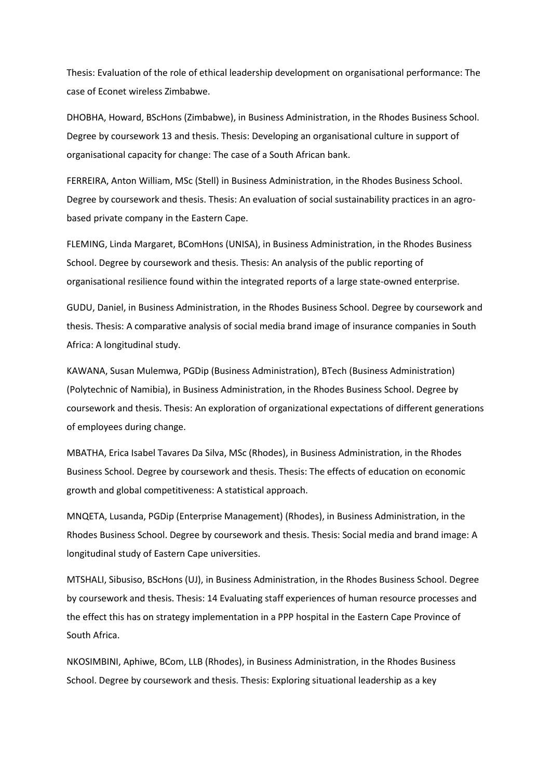Thesis: Evaluation of the role of ethical leadership development on organisational performance: The case of Econet wireless Zimbabwe.

DHOBHA, Howard, BScHons (Zimbabwe), in Business Administration, in the Rhodes Business School. Degree by coursework 13 and thesis. Thesis: Developing an organisational culture in support of organisational capacity for change: The case of a South African bank.

FERREIRA, Anton William, MSc (Stell) in Business Administration, in the Rhodes Business School. Degree by coursework and thesis. Thesis: An evaluation of social sustainability practices in an agrobased private company in the Eastern Cape.

FLEMING, Linda Margaret, BComHons (UNISA), in Business Administration, in the Rhodes Business School. Degree by coursework and thesis. Thesis: An analysis of the public reporting of organisational resilience found within the integrated reports of a large state-owned enterprise.

GUDU, Daniel, in Business Administration, in the Rhodes Business School. Degree by coursework and thesis. Thesis: A comparative analysis of social media brand image of insurance companies in South Africa: A longitudinal study.

KAWANA, Susan Mulemwa, PGDip (Business Administration), BTech (Business Administration) (Polytechnic of Namibia), in Business Administration, in the Rhodes Business School. Degree by coursework and thesis. Thesis: An exploration of organizational expectations of different generations of employees during change.

MBATHA, Erica Isabel Tavares Da Silva, MSc (Rhodes), in Business Administration, in the Rhodes Business School. Degree by coursework and thesis. Thesis: The effects of education on economic growth and global competitiveness: A statistical approach.

MNQETA, Lusanda, PGDip (Enterprise Management) (Rhodes), in Business Administration, in the Rhodes Business School. Degree by coursework and thesis. Thesis: Social media and brand image: A longitudinal study of Eastern Cape universities.

MTSHALI, Sibusiso, BScHons (UJ), in Business Administration, in the Rhodes Business School. Degree by coursework and thesis. Thesis: 14 Evaluating staff experiences of human resource processes and the effect this has on strategy implementation in a PPP hospital in the Eastern Cape Province of South Africa.

NKOSIMBINI, Aphiwe, BCom, LLB (Rhodes), in Business Administration, in the Rhodes Business School. Degree by coursework and thesis. Thesis: Exploring situational leadership as a key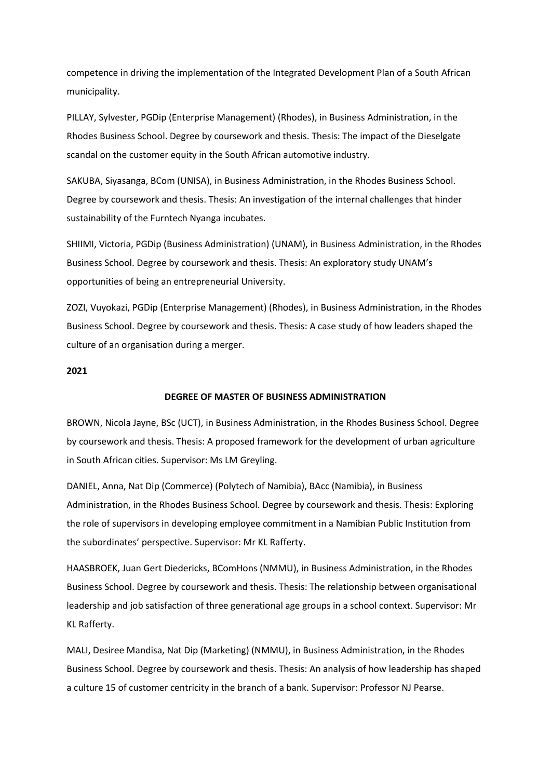competence in driving the implementation of the Integrated Development Plan of a South African municipality.

PILLAY, Sylvester, PGDip (Enterprise Management) (Rhodes), in Business Administration, in the Rhodes Business School. Degree by coursework and thesis. Thesis: The impact of the Dieselgate scandal on the customer equity in the South African automotive industry.

SAKUBA, Siyasanga, BCom (UNISA), in Business Administration, in the Rhodes Business School. Degree by coursework and thesis. Thesis: An investigation of the internal challenges that hinder sustainability of the Furntech Nyanga incubates.

SHIIMI, Victoria, PGDip (Business Administration) (UNAM), in Business Administration, in the Rhodes Business School. Degree by coursework and thesis. Thesis: An exploratory study UNAM's opportunities of being an entrepreneurial University.

ZOZI, Vuyokazi, PGDip (Enterprise Management) (Rhodes), in Business Administration, in the Rhodes Business School. Degree by coursework and thesis. Thesis: A case study of how leaders shaped the culture of an organisation during a merger.

### **2021**

## **DEGREE OF MASTER OF BUSINESS ADMINISTRATION**

BROWN, Nicola Jayne, BSc (UCT), in Business Administration, in the Rhodes Business School. Degree by coursework and thesis. Thesis: A proposed framework for the development of urban agriculture in South African cities. Supervisor: Ms LM Greyling.

DANIEL, Anna, Nat Dip (Commerce) (Polytech of Namibia), BAcc (Namibia), in Business Administration, in the Rhodes Business School. Degree by coursework and thesis. Thesis: Exploring the role of supervisors in developing employee commitment in a Namibian Public Institution from the subordinates' perspective. Supervisor: Mr KL Rafferty.

HAASBROEK, Juan Gert Diedericks, BComHons (NMMU), in Business Administration, in the Rhodes Business School. Degree by coursework and thesis. Thesis: The relationship between organisational leadership and job satisfaction of three generational age groups in a school context. Supervisor: Mr KL Rafferty.

MALI, Desiree Mandisa, Nat Dip (Marketing) (NMMU), in Business Administration, in the Rhodes Business School. Degree by coursework and thesis. Thesis: An analysis of how leadership has shaped a culture 15 of customer centricity in the branch of a bank. Supervisor: Professor NJ Pearse.